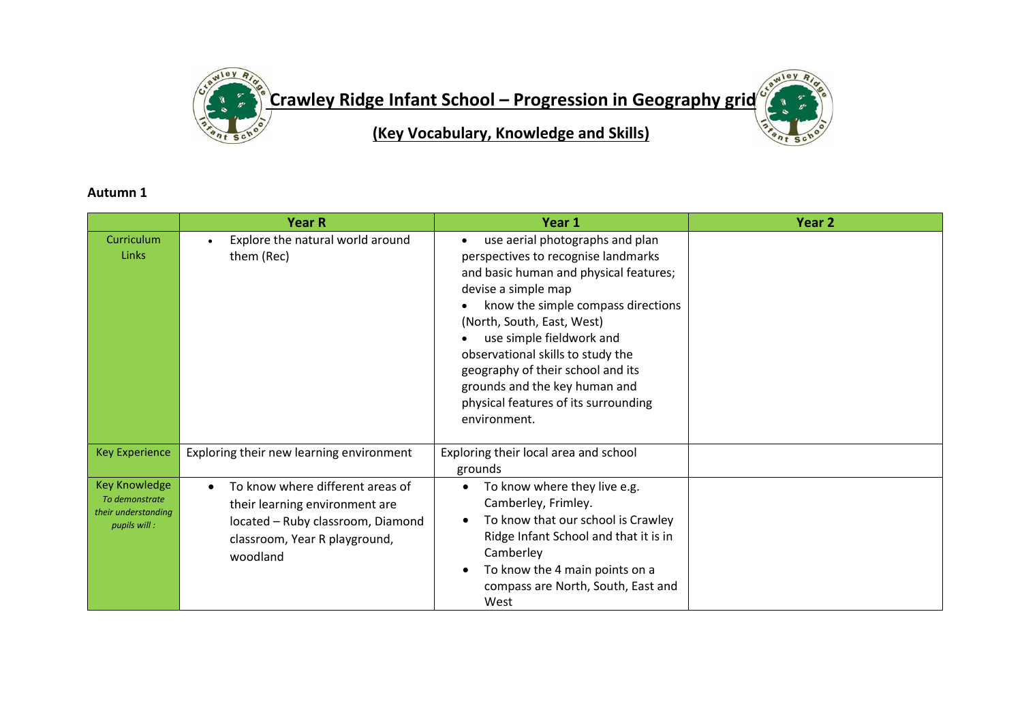

## **Autumn 1**

|                                                                               | <b>Year R</b>                                                                                                                                                     | Year 1                                                                                                                                                                                                                                                                                                                                                                                                     | Year <sub>2</sub> |
|-------------------------------------------------------------------------------|-------------------------------------------------------------------------------------------------------------------------------------------------------------------|------------------------------------------------------------------------------------------------------------------------------------------------------------------------------------------------------------------------------------------------------------------------------------------------------------------------------------------------------------------------------------------------------------|-------------------|
| Curriculum<br><b>Links</b>                                                    | Explore the natural world around<br>them (Rec)                                                                                                                    | use aerial photographs and plan<br>perspectives to recognise landmarks<br>and basic human and physical features;<br>devise a simple map<br>know the simple compass directions<br>(North, South, East, West)<br>use simple fieldwork and<br>observational skills to study the<br>geography of their school and its<br>grounds and the key human and<br>physical features of its surrounding<br>environment. |                   |
| <b>Key Experience</b>                                                         | Exploring their new learning environment                                                                                                                          | Exploring their local area and school<br>grounds                                                                                                                                                                                                                                                                                                                                                           |                   |
| <b>Key Knowledge</b><br>To demonstrate<br>their understanding<br>pupils will: | To know where different areas of<br>$\bullet$<br>their learning environment are<br>located - Ruby classroom, Diamond<br>classroom, Year R playground,<br>woodland | To know where they live e.g.<br>Camberley, Frimley.<br>To know that our school is Crawley<br>Ridge Infant School and that it is in<br>Camberley<br>To know the 4 main points on a<br>compass are North, South, East and<br>West                                                                                                                                                                            |                   |